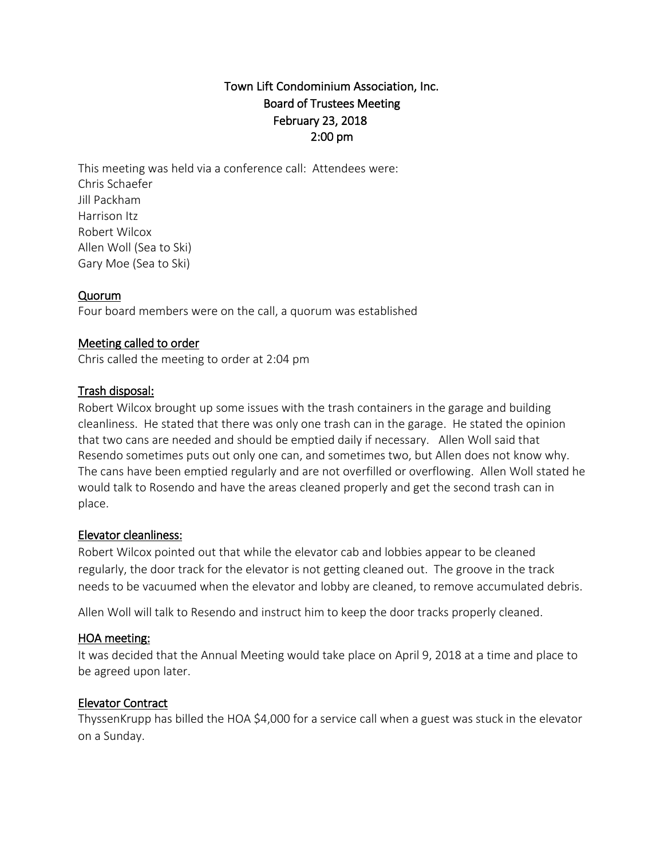# Town Lift Condominium Association, Inc. Board of Trustees Meeting February 23, 2018 2:00 pm

This meeting was held via a conference call: Attendees were: Chris Schaefer Jill Packham Harrison Itz Robert Wilcox Allen Woll (Sea to Ski) Gary Moe (Sea to Ski)

### Quorum

Four board members were on the call, a quorum was established

### Meeting called to order

Chris called the meeting to order at 2:04 pm

#### Trash disposal:

Robert Wilcox brought up some issues with the trash containers in the garage and building cleanliness. He stated that there was only one trash can in the garage. He stated the opinion that two cans are needed and should be emptied daily if necessary. Allen Woll said that Resendo sometimes puts out only one can, and sometimes two, but Allen does not know why. The cans have been emptied regularly and are not overfilled or overflowing. Allen Woll stated he would talk to Rosendo and have the areas cleaned properly and get the second trash can in place.

#### Elevator cleanliness:

Robert Wilcox pointed out that while the elevator cab and lobbies appear to be cleaned regularly, the door track for the elevator is not getting cleaned out. The groove in the track needs to be vacuumed when the elevator and lobby are cleaned, to remove accumulated debris.

Allen Woll will talk to Resendo and instruct him to keep the door tracks properly cleaned.

#### HOA meeting:

It was decided that the Annual Meeting would take place on April 9, 2018 at a time and place to be agreed upon later.

### Elevator Contract

ThyssenKrupp has billed the HOA \$4,000 for a service call when a guest was stuck in the elevator on a Sunday.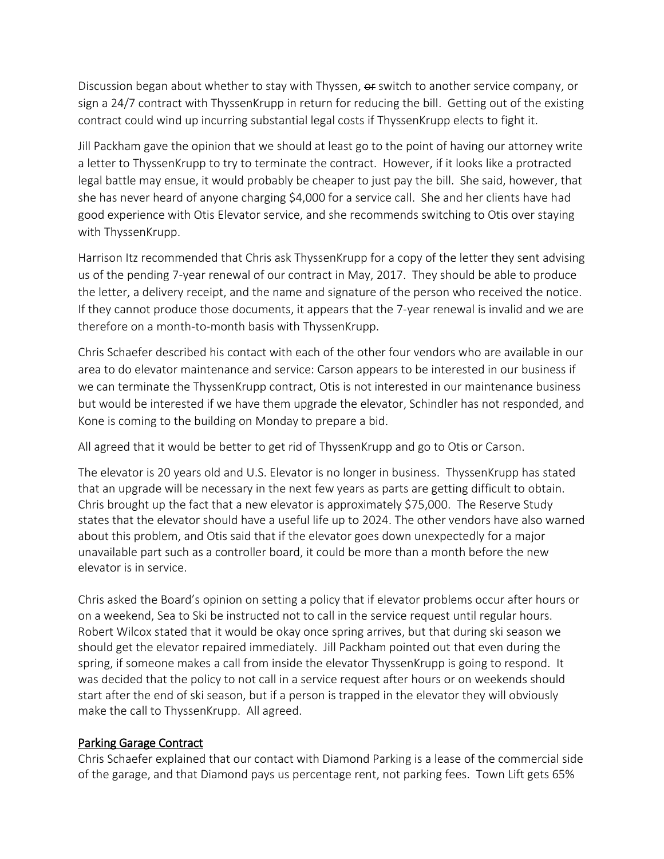Discussion began about whether to stay with Thyssen, or switch to another service company, or sign a 24/7 contract with ThyssenKrupp in return for reducing the bill. Getting out of the existing contract could wind up incurring substantial legal costs if ThyssenKrupp elects to fight it.

Jill Packham gave the opinion that we should at least go to the point of having our attorney write a letter to ThyssenKrupp to try to terminate the contract. However, if it looks like a protracted legal battle may ensue, it would probably be cheaper to just pay the bill. She said, however, that she has never heard of anyone charging \$4,000 for a service call. She and her clients have had good experience with Otis Elevator service, and she recommends switching to Otis over staying with ThyssenKrupp.

Harrison Itz recommended that Chris ask ThyssenKrupp for a copy of the letter they sent advising us of the pending 7-year renewal of our contract in May, 2017. They should be able to produce the letter, a delivery receipt, and the name and signature of the person who received the notice. If they cannot produce those documents, it appears that the 7-year renewal is invalid and we are therefore on a month-to-month basis with ThyssenKrupp.

Chris Schaefer described his contact with each of the other four vendors who are available in our area to do elevator maintenance and service: Carson appears to be interested in our business if we can terminate the ThyssenKrupp contract, Otis is not interested in our maintenance business but would be interested if we have them upgrade the elevator, Schindler has not responded, and Kone is coming to the building on Monday to prepare a bid.

All agreed that it would be better to get rid of ThyssenKrupp and go to Otis or Carson.

The elevator is 20 years old and U.S. Elevator is no longer in business. ThyssenKrupp has stated that an upgrade will be necessary in the next few years as parts are getting difficult to obtain. Chris brought up the fact that a new elevator is approximately \$75,000. The Reserve Study states that the elevator should have a useful life up to 2024. The other vendors have also warned about this problem, and Otis said that if the elevator goes down unexpectedly for a major unavailable part such as a controller board, it could be more than a month before the new elevator is in service.

Chris asked the Board's opinion on setting a policy that if elevator problems occur after hours or on a weekend, Sea to Ski be instructed not to call in the service request until regular hours. Robert Wilcox stated that it would be okay once spring arrives, but that during ski season we should get the elevator repaired immediately. Jill Packham pointed out that even during the spring, if someone makes a call from inside the elevator ThyssenKrupp is going to respond. It was decided that the policy to not call in a service request after hours or on weekends should start after the end of ski season, but if a person is trapped in the elevator they will obviously make the call to ThyssenKrupp. All agreed.

## Parking Garage Contract

Chris Schaefer explained that our contact with Diamond Parking is a lease of the commercial side of the garage, and that Diamond pays us percentage rent, not parking fees. Town Lift gets 65%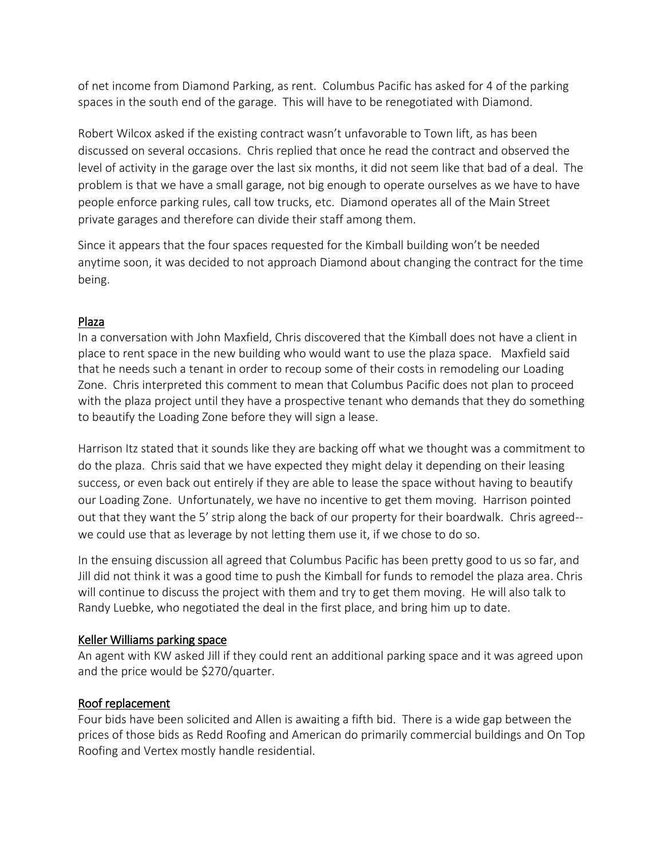of net income from Diamond Parking, as rent. Columbus Pacific has asked for 4 of the parking spaces in the south end of the garage. This will have to be renegotiated with Diamond.

Robert Wilcox asked if the existing contract wasn't unfavorable to Town lift, as has been discussed on several occasions. Chris replied that once he read the contract and observed the level of activity in the garage over the last six months, it did not seem like that bad of a deal. The problem is that we have a small garage, not big enough to operate ourselves as we have to have people enforce parking rules, call tow trucks, etc. Diamond operates all of the Main Street private garages and therefore can divide their staff among them.

Since it appears that the four spaces requested for the Kimball building won't be needed anytime soon, it was decided to not approach Diamond about changing the contract for the time being.

## Plaza

In a conversation with John Maxfield, Chris discovered that the Kimball does not have a client in place to rent space in the new building who would want to use the plaza space. Maxfield said that he needs such a tenant in order to recoup some of their costs in remodeling our Loading Zone. Chris interpreted this comment to mean that Columbus Pacific does not plan to proceed with the plaza project until they have a prospective tenant who demands that they do something to beautify the Loading Zone before they will sign a lease.

Harrison Itz stated that it sounds like they are backing off what we thought was a commitment to do the plaza. Chris said that we have expected they might delay it depending on their leasing success, or even back out entirely if they are able to lease the space without having to beautify our Loading Zone. Unfortunately, we have no incentive to get them moving. Harrison pointed out that they want the 5' strip along the back of our property for their boardwalk. Chris agreed- we could use that as leverage by not letting them use it, if we chose to do so.

In the ensuing discussion all agreed that Columbus Pacific has been pretty good to us so far, and Jill did not think it was a good time to push the Kimball for funds to remodel the plaza area. Chris will continue to discuss the project with them and try to get them moving. He will also talk to Randy Luebke, who negotiated the deal in the first place, and bring him up to date.

### Keller Williams parking space

An agent with KW asked Jill if they could rent an additional parking space and it was agreed upon and the price would be \$270/quarter.

### Roof replacement

Four bids have been solicited and Allen is awaiting a fifth bid. There is a wide gap between the prices of those bids as Redd Roofing and American do primarily commercial buildings and On Top Roofing and Vertex mostly handle residential.